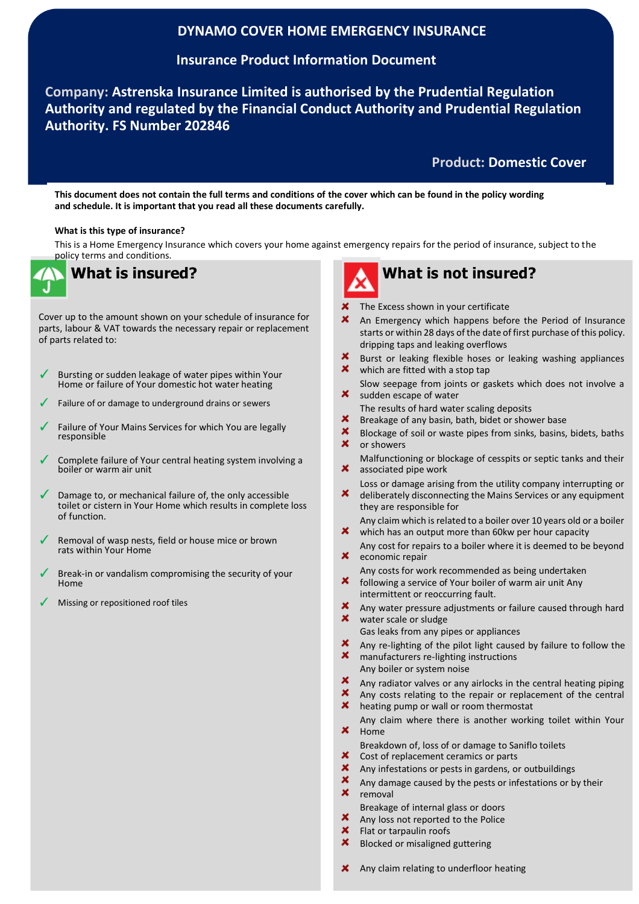## **DYNAMO COVER HOME EMERGENCY INSURANCE**

## **Insurance Product Information Document**

**Company: Astrenska Insurance Limited is authorised by the Prudential Regulation Authority and regulated by the Financial Conduct Authority and Prudential Regulation Authority. FS Number 202846**

## **Product: Domestic Cover**

**This document does not contain the full terms and conditions of the cover which can be found in the policy wording and schedule. It is important that you read all these documents carefully.**

#### **What is this type of insurance?**

This is a Home Emergency Insurance which covers your home against emergency repairs for the period of insurance, subject to the policy terms and conditions.



Cover up to the amount shown on your schedule of insurance for parts, labour & VAT towards the necessary repair or replacement of parts related to:

- Bursting or sudden leakage of water pipes within Your Home or failure of Your domestic hot water heating
- Failure of or damage to underground drains or sewers ľ
- Failure of Your Mains Services for which You are legally responsible
- Complete failure of Your central heating system involving a boiler or warm air unit
- Damage to, or mechanical failure of, the only accessible toilet or cistern in Your Home which results in complete loss of function.
- Removal of wasp nests, field or house mice or brown rats within Your Home
- Break-in or vandalism compromising the security of your Home
- Missing or repositioned roof tiles

- The Excess shown in your certificate
- An Emergency which happens before the Period of Insurance starts or within 28 days of the date of first purchase of this policy. dripping taps and leaking overflows
- $\mathbf x$ Burst or leaking flexible hoses or leaking washing appliances × which are fitted with a stop tap
- Slow seepage from joints or gaskets which does not involve a  $\boldsymbol{\mathsf{x}}$ sudden escape of water
- The results of hard water scaling deposits
- $\boldsymbol{\mathsf{x}}$ Breakage of any basin, bath, bidet or shower base
- $\mathbf x$ Blockage of soil or waste pipes from sinks, basins, bidets, baths  $\boldsymbol{\mathsf{x}}$ or showers
- Malfunctioning or blockage of cesspits or septic tanks and their × associated pipe work
- Loss or damage arising from the utility company interrupting or × deliberately disconnecting the Mains Services or any equipment they are responsible for
- Any claim which is related to a boiler over 10 years old or a boiler  $\boldsymbol{\mathsf{x}}$ which has an output more than 60kw per hour capacity
- Any cost for repairs to a boiler where it is deemed to be beyond  $\boldsymbol{\mathsf{x}}$ economic repair
- Any costs for work recommended as being undertaken  $\mathbf x$ following a service of Your boiler of warm air unit Any
- intermittent or reoccurring fault.
- Any water pressure adjustments or failure caused through hard  $\mathbf x$ water scale or sludge
- Gas leaks from any pipes or appliances
- Any re-lighting of the pilot light caused by failure to follow the  $\mathbf x$ manufacturers re-lighting instructions
- Any boiler or system noise  $\mathbf x$
- Any radiator valves or any airlocks in the central heating piping Any costs relating to the repair or replacement of the central
- heating pump or wall or room thermostat
- Any claim where there is another working toilet within Your ×. Home
	- Breakdown of, loss of or damage to Saniflo toilets
- Cost of replacement ceramics or parts
- $\boldsymbol{\mathsf{x}}$ Any infestations or pests in gardens, or outbuildings
- $\boldsymbol{\mathsf{x}}$ Any damage caused by the pests or infestations or by their  $\boldsymbol{\mathsf{x}}$ 
	- removal
- Breakage of internal glass or doors  $\boldsymbol{\mathsf{x}}$
- Any loss not reported to the Police
- $\boldsymbol{\mathsf{x}}$ Flat or tarpaulin roofs
- × Blocked or misaligned guttering
- **X** Any claim relating to underfloor heating